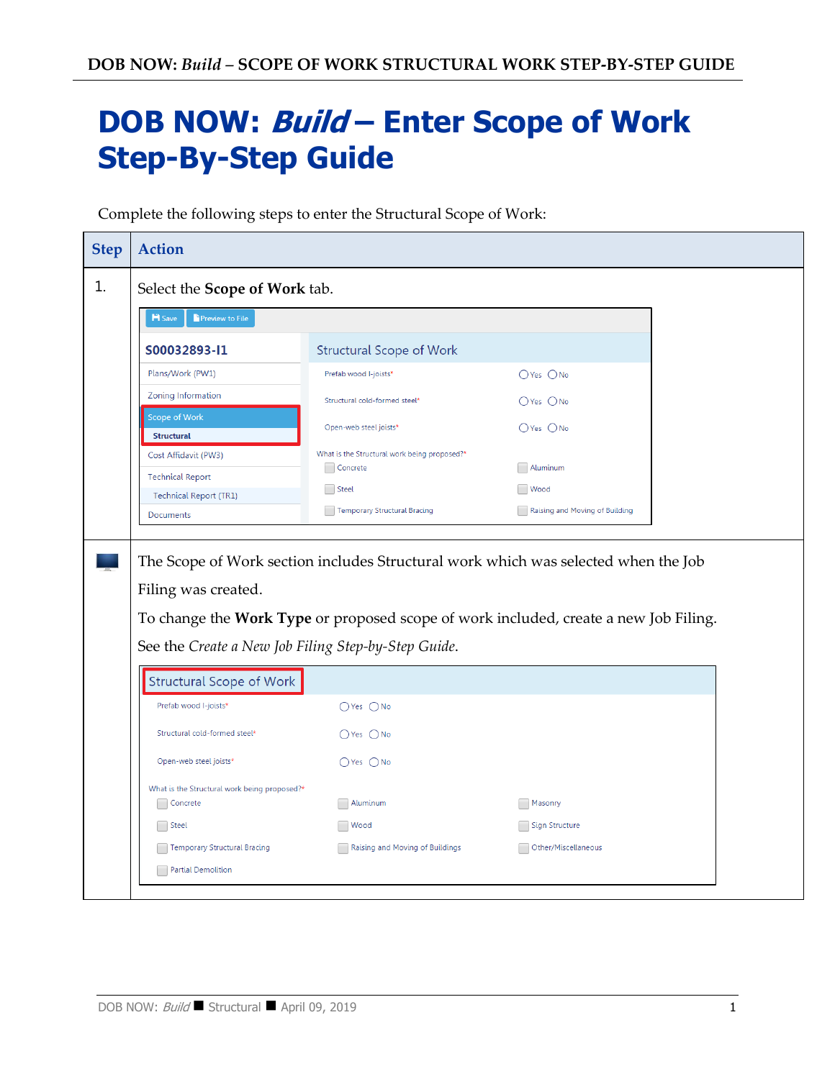# **DOB NOW: Build – Enter Scope of Work Step-By-Step Guide**

Complete the following steps to enter the Structural Scope of Work:

| <b>H</b> Save<br>Preview to File<br><b>Structural Scope of Work</b>                                       |  | Select the Scope of Work tab. |  |  |
|-----------------------------------------------------------------------------------------------------------|--|-------------------------------|--|--|
| S00032893-I1                                                                                              |  |                               |  |  |
|                                                                                                           |  |                               |  |  |
| Plans/Work (PW1)<br>Prefab wood I-joists*<br>$OYes$ $ONo$                                                 |  |                               |  |  |
| <b>Zoning Information</b><br>Structural cold-formed steel*<br>$O$ Yes $O$ No                              |  |                               |  |  |
| <b>Scope of Work</b><br>○Yes ○No<br>Open-web steel joists*<br><b>Structural</b>                           |  |                               |  |  |
| What is the Structural work being proposed?*<br>Cost Affidavit (PW3)<br>Aluminum<br>Concrete              |  |                               |  |  |
| <b>Technical Report</b><br><b>Wood</b><br>Steel<br><b>Technical Report (TR1)</b>                          |  |                               |  |  |
| <b>Temporary Structural Bracing</b><br>Raising and Moving of Building<br>Documents                        |  |                               |  |  |
| The Scope of Work section includes Structural work which was selected when the Job<br>Filing was created. |  |                               |  |  |
| To change the Work Type or proposed scope of work included, create a new Job Filing.                      |  |                               |  |  |
| See the Create a New Job Filing Step-by-Step Guide.                                                       |  |                               |  |  |
| <b>Structural Scope of Work</b><br>Prefab wood I-joists*<br>$O$ Yes $O$ No                                |  |                               |  |  |
| Structural cold-formed steel*<br>$\bigcirc$ Yes $\bigcirc$ No                                             |  |                               |  |  |
| Open-web steel joists*<br>$OYes$ $ONo$                                                                    |  |                               |  |  |
| What is the Structural work being proposed?*                                                              |  |                               |  |  |
| Concrete<br>Aluminum<br>Masonry<br>Steel<br>Sign Structure<br><b>Wood</b>                                 |  |                               |  |  |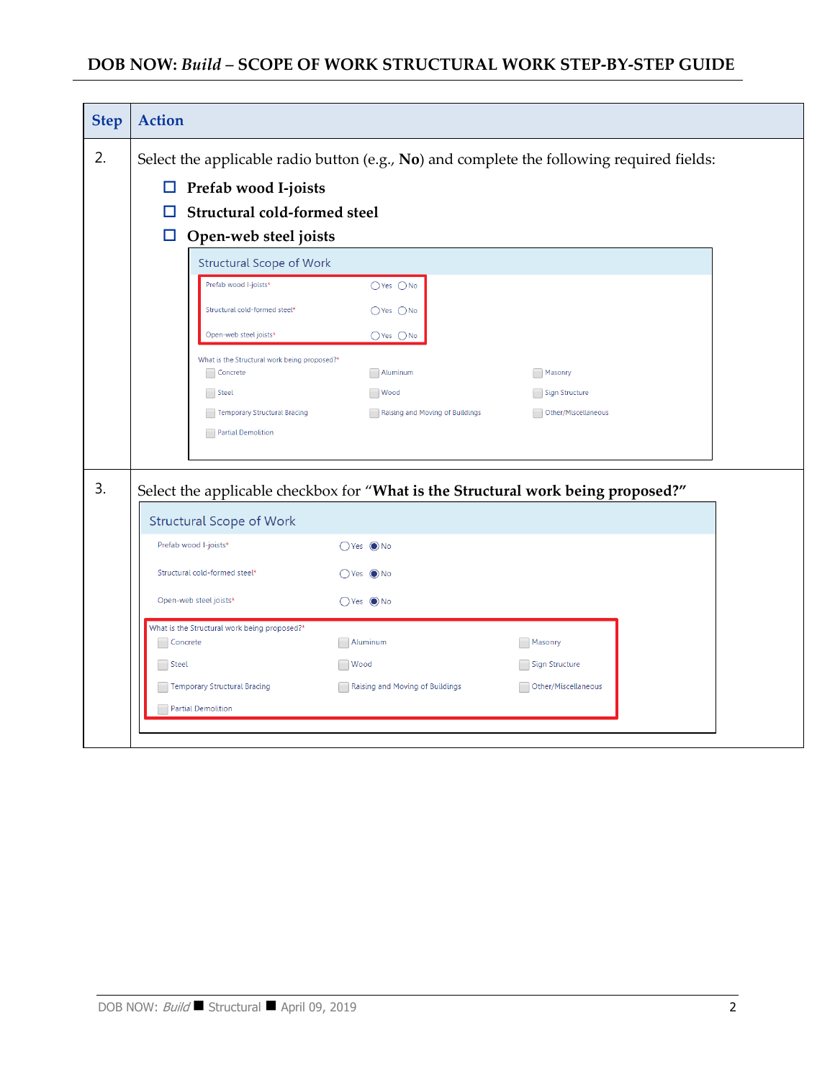| <b>Action</b>                                                                                |                                                   |                                                                                                 |                                                                                                               |  |
|----------------------------------------------------------------------------------------------|---------------------------------------------------|-------------------------------------------------------------------------------------------------|---------------------------------------------------------------------------------------------------------------|--|
| Select the applicable radio button (e.g., $No$ ) and complete the following required fields: |                                                   |                                                                                                 |                                                                                                               |  |
|                                                                                              |                                                   |                                                                                                 |                                                                                                               |  |
| Structural cold-formed steel                                                                 |                                                   |                                                                                                 |                                                                                                               |  |
| Open-web steel joists<br>ப                                                                   |                                                   |                                                                                                 |                                                                                                               |  |
| <b>Structural Scope of Work</b>                                                              |                                                   |                                                                                                 |                                                                                                               |  |
| Prefab wood I-joists*                                                                        | $O$ Yes $O$ No                                    |                                                                                                 |                                                                                                               |  |
| Structural cold-formed steel*                                                                | $OYes$ $ONo$                                      |                                                                                                 |                                                                                                               |  |
| Open-web steel joists*                                                                       | $\bigcirc$ Yes $\bigcirc$ No                      |                                                                                                 |                                                                                                               |  |
|                                                                                              |                                                   |                                                                                                 |                                                                                                               |  |
| Steel                                                                                        | <b>Wood</b>                                       | Sign Structure                                                                                  |                                                                                                               |  |
| Temporary Structural Bracing                                                                 | Raising and Moving of Buildings                   | Other/Miscellaneous                                                                             |                                                                                                               |  |
| Partial Demolition                                                                           |                                                   |                                                                                                 |                                                                                                               |  |
|                                                                                              |                                                   |                                                                                                 |                                                                                                               |  |
|                                                                                              |                                                   |                                                                                                 |                                                                                                               |  |
| <b>Structural Scope of Work</b>                                                              |                                                   |                                                                                                 |                                                                                                               |  |
| Prefab wood I-joists*                                                                        | $OYes$ $\odot$ No                                 |                                                                                                 |                                                                                                               |  |
| Structural cold-formed steel*                                                                | $OYes$ $\odot$ No                                 |                                                                                                 |                                                                                                               |  |
| Open-web steel joists*                                                                       | $O Yes$ $O No$                                    |                                                                                                 |                                                                                                               |  |
| What is the Structural work being proposed?*                                                 |                                                   |                                                                                                 |                                                                                                               |  |
| Concrete                                                                                     | Aluminum                                          | Masonry                                                                                         |                                                                                                               |  |
|                                                                                              |                                                   |                                                                                                 |                                                                                                               |  |
| Temporary Structural Bracing<br>Raising and Moving of Buildings<br>Other/Miscellaneous       |                                                   |                                                                                                 |                                                                                                               |  |
|                                                                                              |                                                   |                                                                                                 |                                                                                                               |  |
|                                                                                              | $\Box$<br>Concrete<br>Steel<br>Partial Demolition | Prefab wood I-joists<br>What is the Structural work being proposed?*<br>Aluminum<br><b>Wood</b> | Masonry<br>Select the applicable checkbox for "What is the Structural work being proposed?"<br>Sign Structure |  |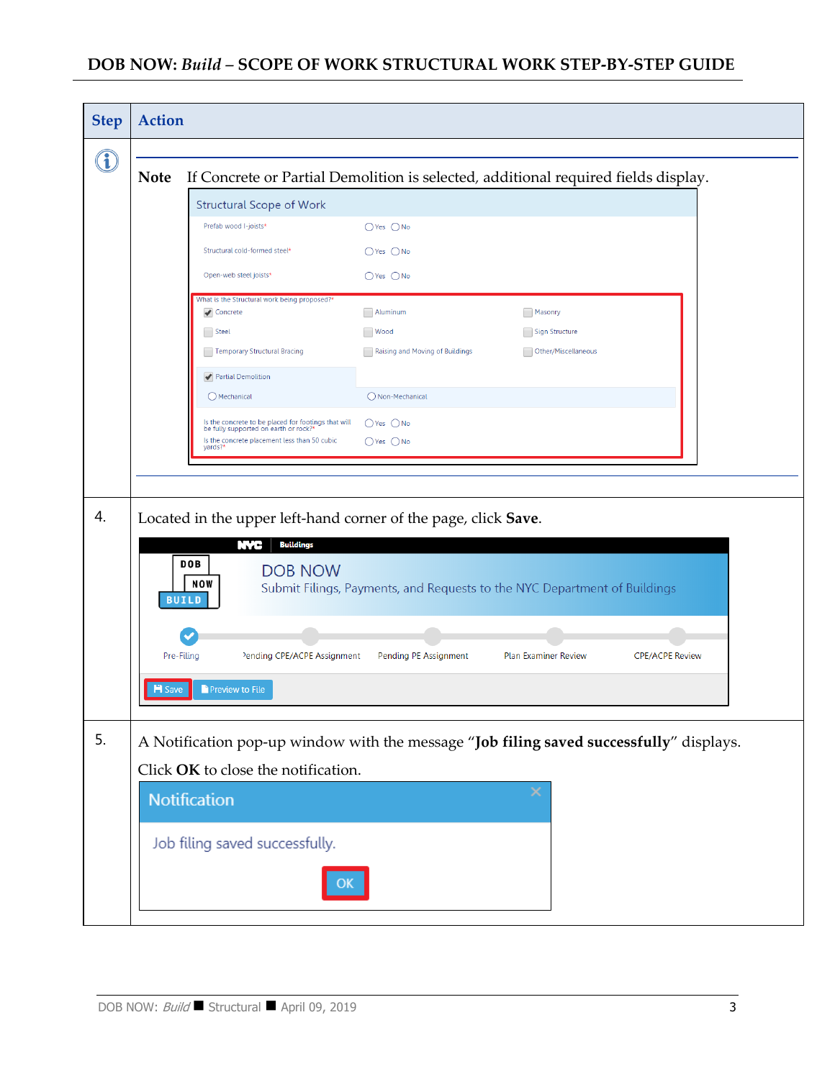| <b>Step</b>                     | <b>Action</b>                                                                                                                  |                                                                                              |                                 |                                                                                    |  |
|---------------------------------|--------------------------------------------------------------------------------------------------------------------------------|----------------------------------------------------------------------------------------------|---------------------------------|------------------------------------------------------------------------------------|--|
|                                 |                                                                                                                                |                                                                                              |                                 |                                                                                    |  |
|                                 | <b>Note</b>                                                                                                                    |                                                                                              |                                 | If Concrete or Partial Demolition is selected, additional required fields display. |  |
| <b>Structural Scope of Work</b> |                                                                                                                                |                                                                                              |                                 |                                                                                    |  |
|                                 |                                                                                                                                | Prefab wood I-joists*                                                                        | $O$ Yes $O$ No                  |                                                                                    |  |
|                                 |                                                                                                                                | Structural cold-formed steel*                                                                | $O$ Yes $O$ No                  |                                                                                    |  |
|                                 |                                                                                                                                | Open-web steel joists*                                                                       | $OYes$ $ONo$                    |                                                                                    |  |
|                                 |                                                                                                                                | What is the Structural work being proposed?*<br>✔ Concrete                                   | Aluminum                        | Masonry                                                                            |  |
|                                 |                                                                                                                                | $\Box$ Steel                                                                                 | <b>Wood</b>                     | Sign Structure                                                                     |  |
|                                 |                                                                                                                                | Temporary Structural Bracing                                                                 | Raising and Moving of Buildings | Other/Miscellaneous                                                                |  |
|                                 |                                                                                                                                | Partial Demolition                                                                           |                                 |                                                                                    |  |
|                                 |                                                                                                                                | O Mechanical                                                                                 | ◯ Non-Mechanical                |                                                                                    |  |
|                                 |                                                                                                                                | Is the concrete to be placed for footings that will<br>be fully supported on earth or rock?* | $O$ Yes $O$ No                  |                                                                                    |  |
|                                 |                                                                                                                                | Is the concrete placement less than 50 cubic<br>yards?'                                      | $O$ Yes $O$ No                  |                                                                                    |  |
|                                 |                                                                                                                                |                                                                                              |                                 |                                                                                    |  |
|                                 |                                                                                                                                |                                                                                              |                                 |                                                                                    |  |
| 4.                              |                                                                                                                                | Located in the upper left-hand corner of the page, click Save.                               |                                 |                                                                                    |  |
|                                 |                                                                                                                                | <b>Buildings</b><br>NYC                                                                      |                                 |                                                                                    |  |
|                                 |                                                                                                                                | <b>DOB</b><br><b>DOB NOW</b>                                                                 |                                 |                                                                                    |  |
|                                 |                                                                                                                                | NOW<br><b>BUILD</b>                                                                          |                                 | Submit Filings, Payments, and Requests to the NYC Department of Buildings          |  |
|                                 |                                                                                                                                |                                                                                              |                                 |                                                                                    |  |
|                                 |                                                                                                                                |                                                                                              |                                 |                                                                                    |  |
|                                 | Pre-Filing                                                                                                                     | Pending CPE/ACPE Assignment                                                                  | Pending PE Assignment           | <b>Plan Examiner Review</b><br><b>CPE/ACPE Review</b>                              |  |
|                                 | <b>H</b> Save                                                                                                                  | Preview to File                                                                              |                                 |                                                                                    |  |
|                                 |                                                                                                                                |                                                                                              |                                 |                                                                                    |  |
| 5.                              |                                                                                                                                |                                                                                              |                                 |                                                                                    |  |
|                                 | A Notification pop-up window with the message "Job filing saved successfully" displays.<br>Click OK to close the notification. |                                                                                              |                                 |                                                                                    |  |
|                                 |                                                                                                                                |                                                                                              |                                 |                                                                                    |  |
|                                 |                                                                                                                                | Notification                                                                                 |                                 |                                                                                    |  |
|                                 |                                                                                                                                | Job filing saved successfully.                                                               |                                 |                                                                                    |  |
|                                 |                                                                                                                                |                                                                                              |                                 |                                                                                    |  |
|                                 |                                                                                                                                |                                                                                              |                                 |                                                                                    |  |
|                                 |                                                                                                                                |                                                                                              |                                 |                                                                                    |  |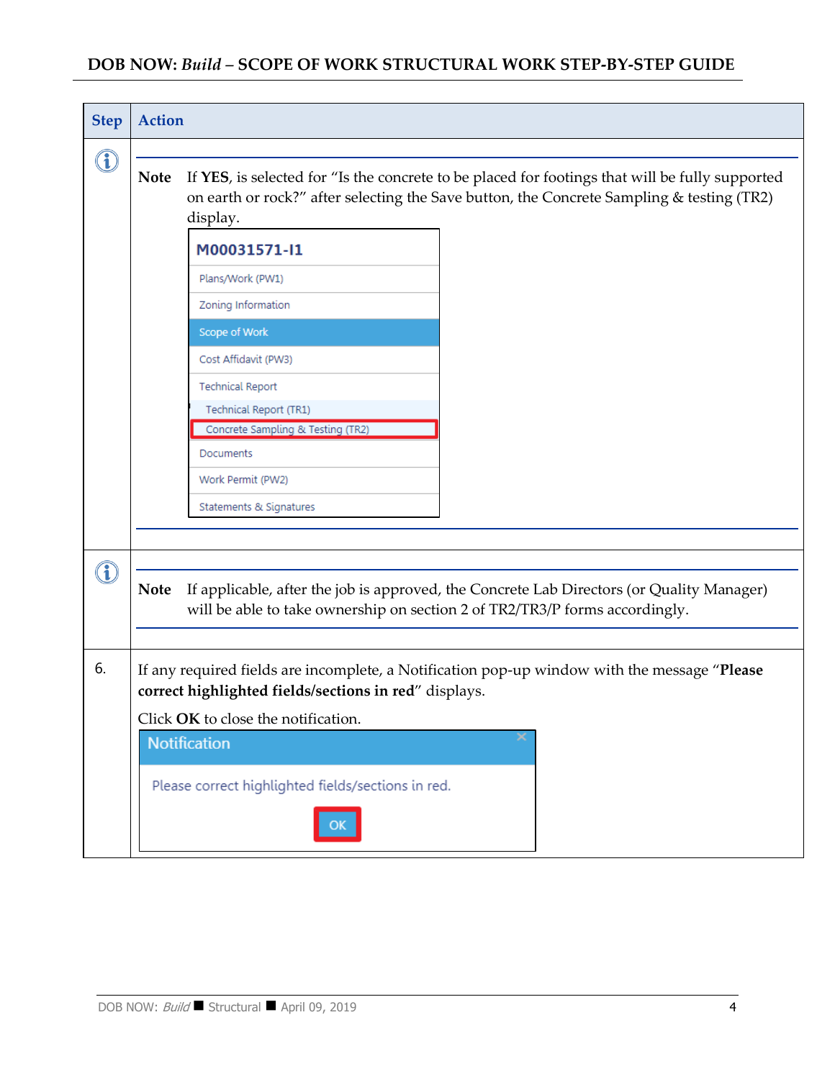| <b>Step</b> | <b>Action</b>                                                                                                                                                                                                           |                                                                             |                                                                                           |  |  |  |
|-------------|-------------------------------------------------------------------------------------------------------------------------------------------------------------------------------------------------------------------------|-----------------------------------------------------------------------------|-------------------------------------------------------------------------------------------|--|--|--|
| G.          | If YES, is selected for "Is the concrete to be placed for footings that will be fully supported<br><b>Note</b><br>on earth or rock?" after selecting the Save button, the Concrete Sampling & testing (TR2)<br>display. |                                                                             |                                                                                           |  |  |  |
|             |                                                                                                                                                                                                                         | M00031571-I1                                                                |                                                                                           |  |  |  |
|             |                                                                                                                                                                                                                         | Plans/Work (PW1)                                                            |                                                                                           |  |  |  |
|             |                                                                                                                                                                                                                         | Zoning Information                                                          |                                                                                           |  |  |  |
|             |                                                                                                                                                                                                                         | Scope of Work                                                               |                                                                                           |  |  |  |
|             |                                                                                                                                                                                                                         | Cost Affidavit (PW3)                                                        |                                                                                           |  |  |  |
|             |                                                                                                                                                                                                                         | <b>Technical Report</b>                                                     |                                                                                           |  |  |  |
|             |                                                                                                                                                                                                                         | Technical Report (TR1)                                                      |                                                                                           |  |  |  |
|             |                                                                                                                                                                                                                         | Concrete Sampling & Testing (TR2)                                           |                                                                                           |  |  |  |
|             |                                                                                                                                                                                                                         | <b>Documents</b>                                                            |                                                                                           |  |  |  |
|             |                                                                                                                                                                                                                         | Work Permit (PW2)                                                           |                                                                                           |  |  |  |
|             |                                                                                                                                                                                                                         | Statements & Signatures                                                     |                                                                                           |  |  |  |
|             |                                                                                                                                                                                                                         |                                                                             |                                                                                           |  |  |  |
|             | <b>Note</b>                                                                                                                                                                                                             | will be able to take ownership on section 2 of TR2/TR3/P forms accordingly. | If applicable, after the job is approved, the Concrete Lab Directors (or Quality Manager) |  |  |  |
| 6.          | If any required fields are incomplete, a Notification pop-up window with the message "Please<br>correct highlighted fields/sections in red" displays.                                                                   |                                                                             |                                                                                           |  |  |  |
|             | Click OK to close the notification.                                                                                                                                                                                     |                                                                             |                                                                                           |  |  |  |
|             |                                                                                                                                                                                                                         | <b>Notification</b>                                                         |                                                                                           |  |  |  |
|             |                                                                                                                                                                                                                         |                                                                             |                                                                                           |  |  |  |
|             |                                                                                                                                                                                                                         | Please correct highlighted fields/sections in red.                          |                                                                                           |  |  |  |
|             |                                                                                                                                                                                                                         |                                                                             |                                                                                           |  |  |  |